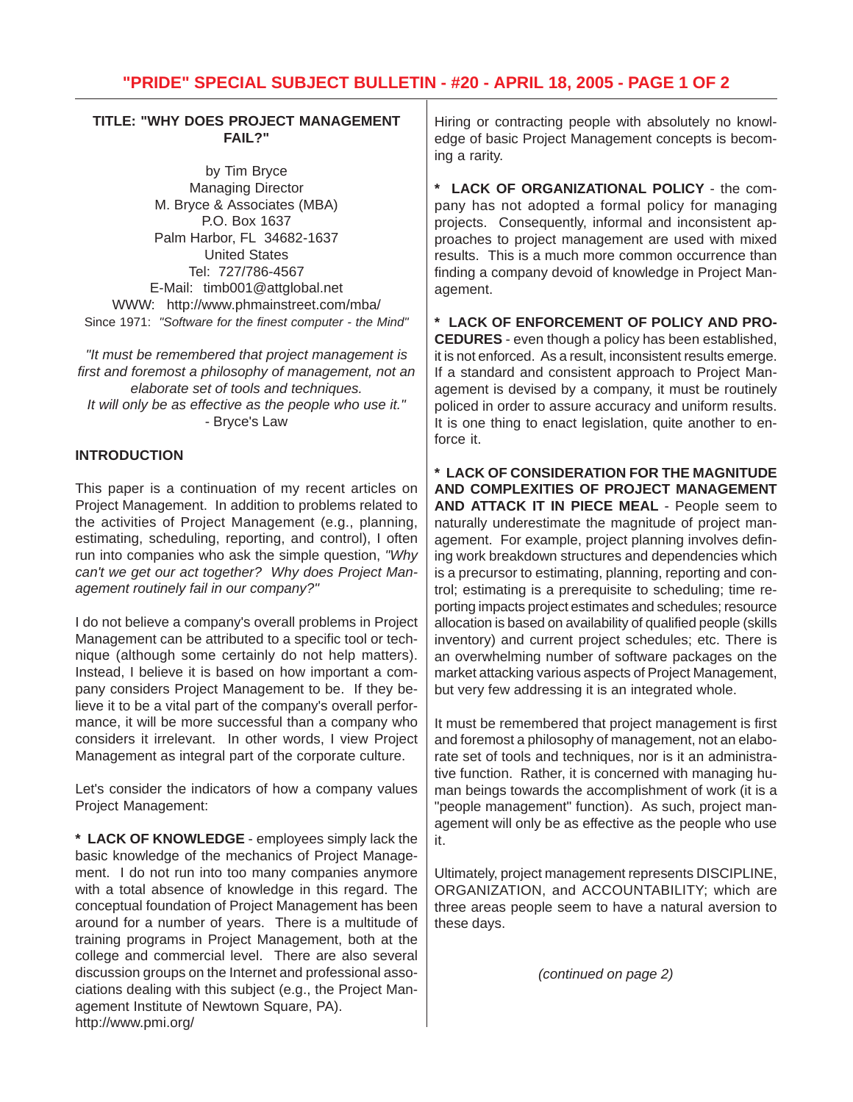### **TITLE: "WHY DOES PROJECT MANAGEMENT FAIL?"**

by Tim Bryce Managing Director M. Bryce & Associates (MBA) P.O. Box 1637 Palm Harbor, FL 34682-1637 United States Tel: 727/786-4567 E-Mail: timb001@attglobal.net WWW: http://www.phmainstreet.com/mba/ Since 1971: *"Software for the finest computer - the Mind"*

*"It must be remembered that project management is first and foremost a philosophy of management, not an elaborate set of tools and techniques. It will only be as effective as the people who use it."* - Bryce's Law

## **INTRODUCTION**

This paper is a continuation of my recent articles on Project Management. In addition to problems related to the activities of Project Management (e.g., planning, estimating, scheduling, reporting, and control), I often run into companies who ask the simple question, *"Why can't we get our act together? Why does Project Management routinely fail in our company?"*

I do not believe a company's overall problems in Project Management can be attributed to a specific tool or technique (although some certainly do not help matters). Instead, I believe it is based on how important a company considers Project Management to be. If they believe it to be a vital part of the company's overall performance, it will be more successful than a company who considers it irrelevant. In other words, I view Project Management as integral part of the corporate culture.

Let's consider the indicators of how a company values Project Management:

**\* LACK OF KNOWLEDGE** - employees simply lack the basic knowledge of the mechanics of Project Management. I do not run into too many companies anymore with a total absence of knowledge in this regard. The conceptual foundation of Project Management has been around for a number of years. There is a multitude of training programs in Project Management, both at the college and commercial level. There are also several discussion groups on the Internet and professional associations dealing with this subject (e.g., the Project Management Institute of Newtown Square, PA). http://www.pmi.org/

Hiring or contracting people with absolutely no knowledge of basic Project Management concepts is becoming a rarity.

**\* LACK OF ORGANIZATIONAL POLICY** - the company has not adopted a formal policy for managing projects. Consequently, informal and inconsistent approaches to project management are used with mixed results. This is a much more common occurrence than finding a company devoid of knowledge in Project Management.

**\* LACK OF ENFORCEMENT OF POLICY AND PRO-CEDURES** - even though a policy has been established, it is not enforced. As a result, inconsistent results emerge. If a standard and consistent approach to Project Management is devised by a company, it must be routinely policed in order to assure accuracy and uniform results. It is one thing to enact legislation, quite another to enforce it.

**\* LACK OF CONSIDERATION FOR THE MAGNITUDE AND COMPLEXITIES OF PROJECT MANAGEMENT AND ATTACK IT IN PIECE MEAL** - People seem to naturally underestimate the magnitude of project management. For example, project planning involves defining work breakdown structures and dependencies which is a precursor to estimating, planning, reporting and control; estimating is a prerequisite to scheduling; time reporting impacts project estimates and schedules; resource allocation is based on availability of qualified people (skills inventory) and current project schedules; etc. There is an overwhelming number of software packages on the market attacking various aspects of Project Management, but very few addressing it is an integrated whole.

It must be remembered that project management is first and foremost a philosophy of management, not an elaborate set of tools and techniques, nor is it an administrative function. Rather, it is concerned with managing human beings towards the accomplishment of work (it is a "people management" function). As such, project management will only be as effective as the people who use it.

Ultimately, project management represents DISCIPLINE, ORGANIZATION, and ACCOUNTABILITY; which are three areas people seem to have a natural aversion to these days.

*(continued on page 2)*